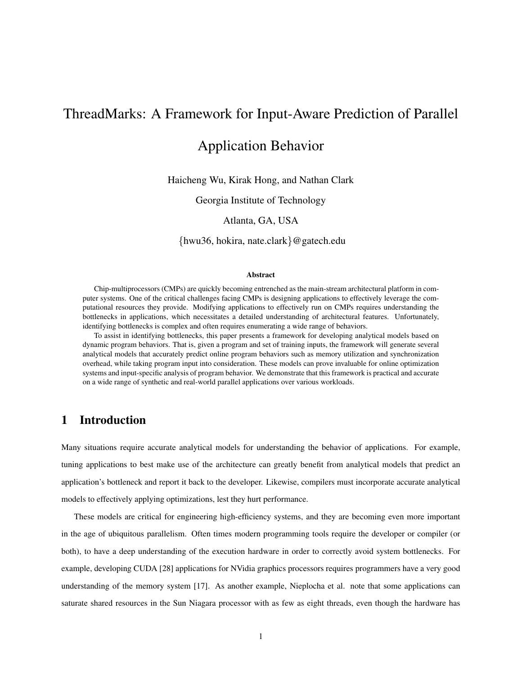# ThreadMarks: A Framework for Input-Aware Prediction of Parallel

# Application Behavior

Haicheng Wu, Kirak Hong, and Nathan Clark

Georgia Institute of Technology

Atlanta, GA, USA

{hwu36, hokira, nate.clark}@gatech.edu

#### Abstract

Chip-multiprocessors (CMPs) are quickly becoming entrenched as the main-stream architectural platform in computer systems. One of the critical challenges facing CMPs is designing applications to effectively leverage the computational resources they provide. Modifying applications to effectively run on CMPs requires understanding the bottlenecks in applications, which necessitates a detailed understanding of architectural features. Unfortunately, identifying bottlenecks is complex and often requires enumerating a wide range of behaviors.

To assist in identifying bottlenecks, this paper presents a framework for developing analytical models based on dynamic program behaviors. That is, given a program and set of training inputs, the framework will generate several analytical models that accurately predict online program behaviors such as memory utilization and synchronization overhead, while taking program input into consideration. These models can prove invaluable for online optimization systems and input-specific analysis of program behavior. We demonstrate that this framework is practical and accurate on a wide range of synthetic and real-world parallel applications over various workloads.

# 1 Introduction

Many situations require accurate analytical models for understanding the behavior of applications. For example, tuning applications to best make use of the architecture can greatly benefit from analytical models that predict an application's bottleneck and report it back to the developer. Likewise, compilers must incorporate accurate analytical models to effectively applying optimizations, lest they hurt performance.

These models are critical for engineering high-efficiency systems, and they are becoming even more important in the age of ubiquitous parallelism. Often times modern programming tools require the developer or compiler (or both), to have a deep understanding of the execution hardware in order to correctly avoid system bottlenecks. For example, developing CUDA [28] applications for NVidia graphics processors requires programmers have a very good understanding of the memory system [17]. As another example, Nieplocha et al. note that some applications can saturate shared resources in the Sun Niagara processor with as few as eight threads, even though the hardware has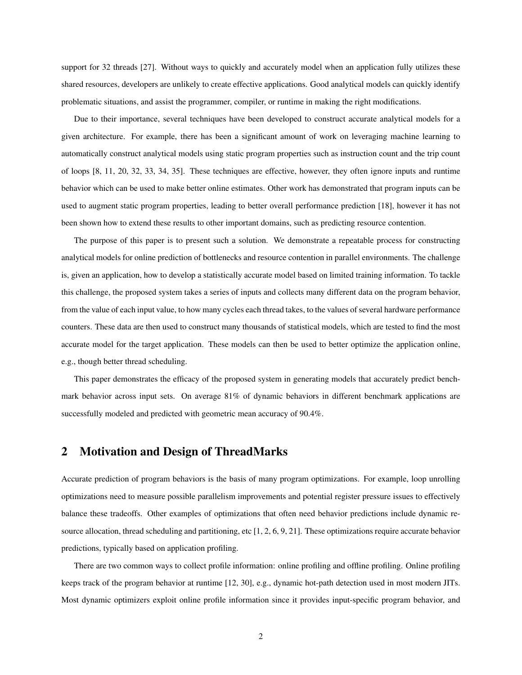support for 32 threads [27]. Without ways to quickly and accurately model when an application fully utilizes these shared resources, developers are unlikely to create effective applications. Good analytical models can quickly identify problematic situations, and assist the programmer, compiler, or runtime in making the right modifications.

Due to their importance, several techniques have been developed to construct accurate analytical models for a given architecture. For example, there has been a significant amount of work on leveraging machine learning to automatically construct analytical models using static program properties such as instruction count and the trip count of loops [8, 11, 20, 32, 33, 34, 35]. These techniques are effective, however, they often ignore inputs and runtime behavior which can be used to make better online estimates. Other work has demonstrated that program inputs can be used to augment static program properties, leading to better overall performance prediction [18], however it has not been shown how to extend these results to other important domains, such as predicting resource contention.

The purpose of this paper is to present such a solution. We demonstrate a repeatable process for constructing analytical models for online prediction of bottlenecks and resource contention in parallel environments. The challenge is, given an application, how to develop a statistically accurate model based on limited training information. To tackle this challenge, the proposed system takes a series of inputs and collects many different data on the program behavior, from the value of each input value, to how many cycles each thread takes, to the values of several hardware performance counters. These data are then used to construct many thousands of statistical models, which are tested to find the most accurate model for the target application. These models can then be used to better optimize the application online, e.g., though better thread scheduling.

This paper demonstrates the efficacy of the proposed system in generating models that accurately predict benchmark behavior across input sets. On average 81% of dynamic behaviors in different benchmark applications are successfully modeled and predicted with geometric mean accuracy of 90.4%.

# 2 Motivation and Design of ThreadMarks

Accurate prediction of program behaviors is the basis of many program optimizations. For example, loop unrolling optimizations need to measure possible parallelism improvements and potential register pressure issues to effectively balance these tradeoffs. Other examples of optimizations that often need behavior predictions include dynamic resource allocation, thread scheduling and partitioning, etc  $[1, 2, 6, 9, 21]$ . These optimizations require accurate behavior predictions, typically based on application profiling.

There are two common ways to collect profile information: online profiling and offline profiling. Online profiling keeps track of the program behavior at runtime [12, 30], e.g., dynamic hot-path detection used in most modern JITs. Most dynamic optimizers exploit online profile information since it provides input-specific program behavior, and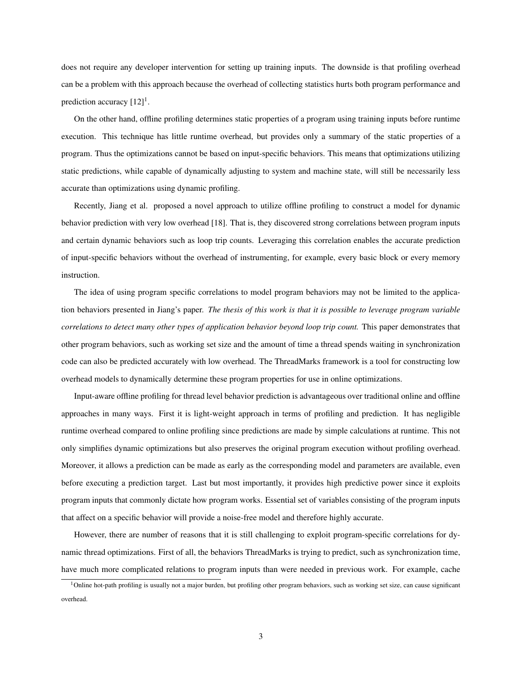does not require any developer intervention for setting up training inputs. The downside is that profiling overhead can be a problem with this approach because the overhead of collecting statistics hurts both program performance and prediction accuracy  $[12]$ <sup>1</sup>.

On the other hand, offline profiling determines static properties of a program using training inputs before runtime execution. This technique has little runtime overhead, but provides only a summary of the static properties of a program. Thus the optimizations cannot be based on input-specific behaviors. This means that optimizations utilizing static predictions, while capable of dynamically adjusting to system and machine state, will still be necessarily less accurate than optimizations using dynamic profiling.

Recently, Jiang et al. proposed a novel approach to utilize offline profiling to construct a model for dynamic behavior prediction with very low overhead [18]. That is, they discovered strong correlations between program inputs and certain dynamic behaviors such as loop trip counts. Leveraging this correlation enables the accurate prediction of input-specific behaviors without the overhead of instrumenting, for example, every basic block or every memory instruction.

The idea of using program specific correlations to model program behaviors may not be limited to the application behaviors presented in Jiang's paper. *The thesis of this work is that it is possible to leverage program variable correlations to detect many other types of application behavior beyond loop trip count.* This paper demonstrates that other program behaviors, such as working set size and the amount of time a thread spends waiting in synchronization code can also be predicted accurately with low overhead. The ThreadMarks framework is a tool for constructing low overhead models to dynamically determine these program properties for use in online optimizations.

Input-aware offline profiling for thread level behavior prediction is advantageous over traditional online and offline approaches in many ways. First it is light-weight approach in terms of profiling and prediction. It has negligible runtime overhead compared to online profiling since predictions are made by simple calculations at runtime. This not only simplifies dynamic optimizations but also preserves the original program execution without profiling overhead. Moreover, it allows a prediction can be made as early as the corresponding model and parameters are available, even before executing a prediction target. Last but most importantly, it provides high predictive power since it exploits program inputs that commonly dictate how program works. Essential set of variables consisting of the program inputs that affect on a specific behavior will provide a noise-free model and therefore highly accurate.

However, there are number of reasons that it is still challenging to exploit program-specific correlations for dynamic thread optimizations. First of all, the behaviors ThreadMarks is trying to predict, such as synchronization time, have much more complicated relations to program inputs than were needed in previous work. For example, cache

<sup>&</sup>lt;sup>1</sup>Online hot-path profiling is usually not a major burden, but profiling other program behaviors, such as working set size, can cause significant overhead.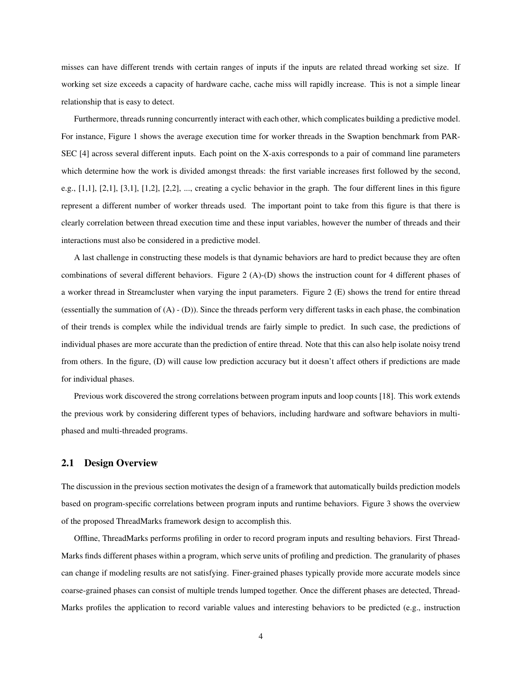misses can have different trends with certain ranges of inputs if the inputs are related thread working set size. If working set size exceeds a capacity of hardware cache, cache miss will rapidly increase. This is not a simple linear relationship that is easy to detect.

Furthermore, threads running concurrently interact with each other, which complicates building a predictive model. For instance, Figure 1 shows the average execution time for worker threads in the Swaption benchmark from PAR-SEC [4] across several different inputs. Each point on the X-axis corresponds to a pair of command line parameters which determine how the work is divided amongst threads: the first variable increases first followed by the second, e.g., [1,1], [2,1], [3,1], [1,2], [2,2], ..., creating a cyclic behavior in the graph. The four different lines in this figure represent a different number of worker threads used. The important point to take from this figure is that there is clearly correlation between thread execution time and these input variables, however the number of threads and their interactions must also be considered in a predictive model.

A last challenge in constructing these models is that dynamic behaviors are hard to predict because they are often combinations of several different behaviors. Figure 2 (A)-(D) shows the instruction count for 4 different phases of a worker thread in Streamcluster when varying the input parameters. Figure 2 (E) shows the trend for entire thread (essentially the summation of  $(A)$  -  $(D)$ ). Since the threads perform very different tasks in each phase, the combination of their trends is complex while the individual trends are fairly simple to predict. In such case, the predictions of individual phases are more accurate than the prediction of entire thread. Note that this can also help isolate noisy trend from others. In the figure, (D) will cause low prediction accuracy but it doesn't affect others if predictions are made for individual phases.

Previous work discovered the strong correlations between program inputs and loop counts [18]. This work extends the previous work by considering different types of behaviors, including hardware and software behaviors in multiphased and multi-threaded programs.

#### 2.1 Design Overview

The discussion in the previous section motivates the design of a framework that automatically builds prediction models based on program-specific correlations between program inputs and runtime behaviors. Figure 3 shows the overview of the proposed ThreadMarks framework design to accomplish this.

Offline, ThreadMarks performs profiling in order to record program inputs and resulting behaviors. First Thread-Marks finds different phases within a program, which serve units of profiling and prediction. The granularity of phases can change if modeling results are not satisfying. Finer-grained phases typically provide more accurate models since coarse-grained phases can consist of multiple trends lumped together. Once the different phases are detected, Thread-Marks profiles the application to record variable values and interesting behaviors to be predicted (e.g., instruction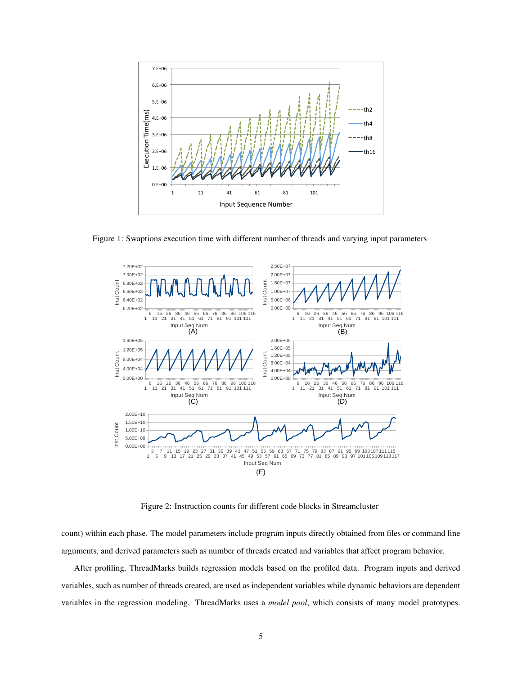

Figure 1: Swaptions execution time with different number of threads and varying input parameters



Figure 2: Instruction counts for different code blocks in Streamcluster

count) within each phase. The model parameters include program inputs directly obtained from files or command line arguments, and derived parameters such as number of threads created and variables that affect program behavior.

After profiling, ThreadMarks builds regression models based on the profiled data. Program inputs and derived variables, such as number of threads created, are used as independent variables while dynamic behaviors are dependent variables in the regression modeling. ThreadMarks uses a *model pool*, which consists of many model prototypes.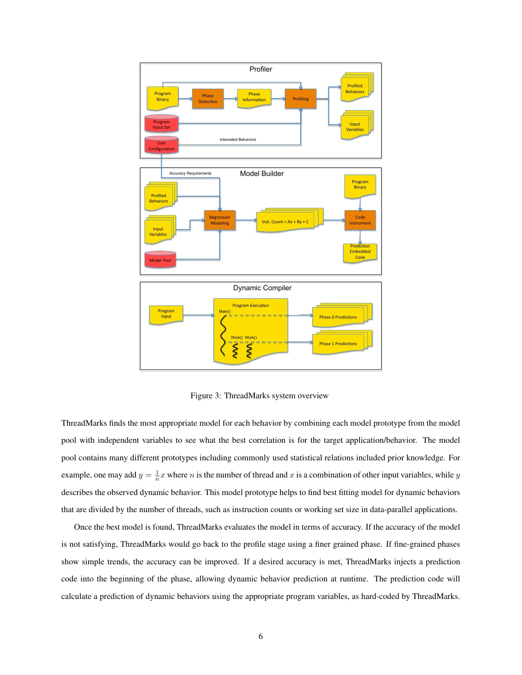

Figure 3: ThreadMarks system overview

ThreadMarks finds the most appropriate model for each behavior by combining each model prototype from the model pool with independent variables to see what the best correlation is for the target application/behavior. The model pool contains many different prototypes including commonly used statistical relations included prior knowledge. For example, one may add  $y = \frac{1}{n}x$  where *n* is the number of thread and *x* is a combination of other input variables, while *y* describes the observed dynamic behavior. This model prototype helps to find best fitting model for dynamic behaviors that are divided by the number of threads, such as instruction counts or working set size in data-parallel applications.

Once the best model is found, ThreadMarks evaluates the model in terms of accuracy. If the accuracy of the model is not satisfying, ThreadMarks would go back to the profile stage using a finer grained phase. If fine-grained phases show simple trends, the accuracy can be improved. If a desired accuracy is met, ThreadMarks injects a prediction code into the beginning of the phase, allowing dynamic behavior prediction at runtime. The prediction code will calculate a prediction of dynamic behaviors using the appropriate program variables, as hard-coded by ThreadMarks.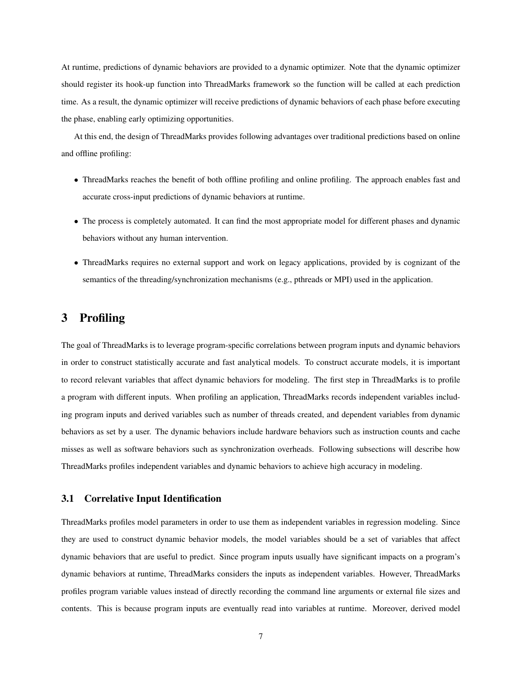At runtime, predictions of dynamic behaviors are provided to a dynamic optimizer. Note that the dynamic optimizer should register its hook-up function into ThreadMarks framework so the function will be called at each prediction time. As a result, the dynamic optimizer will receive predictions of dynamic behaviors of each phase before executing the phase, enabling early optimizing opportunities.

At this end, the design of ThreadMarks provides following advantages over traditional predictions based on online and offline profiling:

- ThreadMarks reaches the benefit of both offline profiling and online profiling. The approach enables fast and accurate cross-input predictions of dynamic behaviors at runtime.
- The process is completely automated. It can find the most appropriate model for different phases and dynamic behaviors without any human intervention.
- ThreadMarks requires no external support and work on legacy applications, provided by is cognizant of the semantics of the threading/synchronization mechanisms (e.g., pthreads or MPI) used in the application.

## 3 Profiling

The goal of ThreadMarks is to leverage program-specific correlations between program inputs and dynamic behaviors in order to construct statistically accurate and fast analytical models. To construct accurate models, it is important to record relevant variables that affect dynamic behaviors for modeling. The first step in ThreadMarks is to profile a program with different inputs. When profiling an application, ThreadMarks records independent variables including program inputs and derived variables such as number of threads created, and dependent variables from dynamic behaviors as set by a user. The dynamic behaviors include hardware behaviors such as instruction counts and cache misses as well as software behaviors such as synchronization overheads. Following subsections will describe how ThreadMarks profiles independent variables and dynamic behaviors to achieve high accuracy in modeling.

### 3.1 Correlative Input Identification

ThreadMarks profiles model parameters in order to use them as independent variables in regression modeling. Since they are used to construct dynamic behavior models, the model variables should be a set of variables that affect dynamic behaviors that are useful to predict. Since program inputs usually have significant impacts on a program's dynamic behaviors at runtime, ThreadMarks considers the inputs as independent variables. However, ThreadMarks profiles program variable values instead of directly recording the command line arguments or external file sizes and contents. This is because program inputs are eventually read into variables at runtime. Moreover, derived model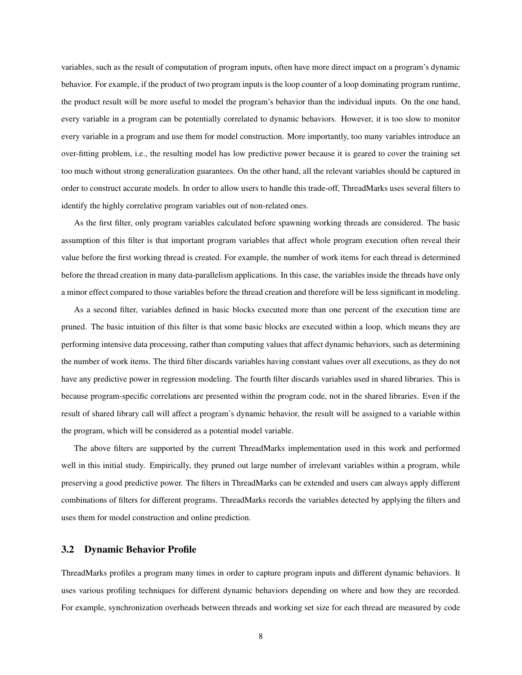variables, such as the result of computation of program inputs, often have more direct impact on a program's dynamic behavior. For example, if the product of two program inputs is the loop counter of a loop dominating program runtime, the product result will be more useful to model the program's behavior than the individual inputs. On the one hand, every variable in a program can be potentially correlated to dynamic behaviors. However, it is too slow to monitor every variable in a program and use them for model construction. More importantly, too many variables introduce an over-fitting problem, i.e., the resulting model has low predictive power because it is geared to cover the training set too much without strong generalization guarantees. On the other hand, all the relevant variables should be captured in order to construct accurate models. In order to allow users to handle this trade-off, ThreadMarks uses several filters to identify the highly correlative program variables out of non-related ones.

As the first filter, only program variables calculated before spawning working threads are considered. The basic assumption of this filter is that important program variables that affect whole program execution often reveal their value before the first working thread is created. For example, the number of work items for each thread is determined before the thread creation in many data-parallelism applications. In this case, the variables inside the threads have only a minor effect compared to those variables before the thread creation and therefore will be less significant in modeling.

As a second filter, variables defined in basic blocks executed more than one percent of the execution time are pruned. The basic intuition of this filter is that some basic blocks are executed within a loop, which means they are performing intensive data processing, rather than computing values that affect dynamic behaviors, such as determining the number of work items. The third filter discards variables having constant values over all executions, as they do not have any predictive power in regression modeling. The fourth filter discards variables used in shared libraries. This is because program-specific correlations are presented within the program code, not in the shared libraries. Even if the result of shared library call will affect a program's dynamic behavior, the result will be assigned to a variable within the program, which will be considered as a potential model variable.

The above filters are supported by the current ThreadMarks implementation used in this work and performed well in this initial study. Empirically, they pruned out large number of irrelevant variables within a program, while preserving a good predictive power. The filters in ThreadMarks can be extended and users can always apply different combinations of filters for different programs. ThreadMarks records the variables detected by applying the filters and uses them for model construction and online prediction.

### 3.2 Dynamic Behavior Profile

ThreadMarks profiles a program many times in order to capture program inputs and different dynamic behaviors. It uses various profiling techniques for different dynamic behaviors depending on where and how they are recorded. For example, synchronization overheads between threads and working set size for each thread are measured by code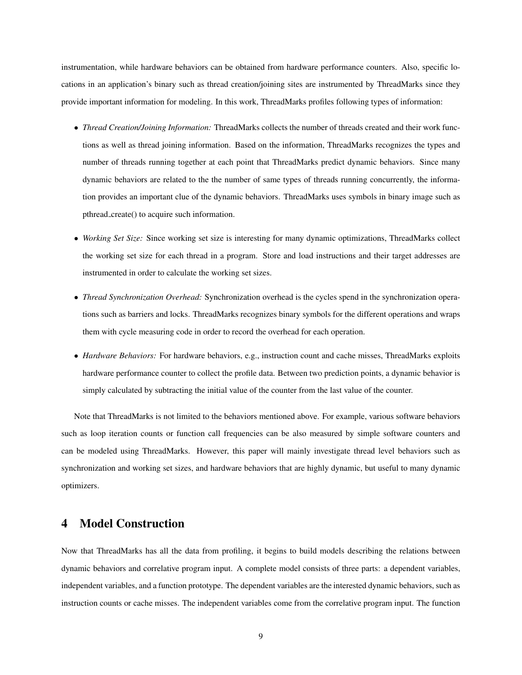instrumentation, while hardware behaviors can be obtained from hardware performance counters. Also, specific locations in an application's binary such as thread creation/joining sites are instrumented by ThreadMarks since they provide important information for modeling. In this work, ThreadMarks profiles following types of information:

- *Thread Creation/Joining Information:* ThreadMarks collects the number of threads created and their work functions as well as thread joining information. Based on the information, ThreadMarks recognizes the types and number of threads running together at each point that ThreadMarks predict dynamic behaviors. Since many dynamic behaviors are related to the the number of same types of threads running concurrently, the information provides an important clue of the dynamic behaviors. ThreadMarks uses symbols in binary image such as pthread create() to acquire such information.
- *Working Set Size:* Since working set size is interesting for many dynamic optimizations, ThreadMarks collect the working set size for each thread in a program. Store and load instructions and their target addresses are instrumented in order to calculate the working set sizes.
- *Thread Synchronization Overhead:* Synchronization overhead is the cycles spend in the synchronization operations such as barriers and locks. ThreadMarks recognizes binary symbols for the different operations and wraps them with cycle measuring code in order to record the overhead for each operation.
- *Hardware Behaviors:* For hardware behaviors, e.g., instruction count and cache misses, ThreadMarks exploits hardware performance counter to collect the profile data. Between two prediction points, a dynamic behavior is simply calculated by subtracting the initial value of the counter from the last value of the counter.

Note that ThreadMarks is not limited to the behaviors mentioned above. For example, various software behaviors such as loop iteration counts or function call frequencies can be also measured by simple software counters and can be modeled using ThreadMarks. However, this paper will mainly investigate thread level behaviors such as synchronization and working set sizes, and hardware behaviors that are highly dynamic, but useful to many dynamic optimizers.

# 4 Model Construction

Now that ThreadMarks has all the data from profiling, it begins to build models describing the relations between dynamic behaviors and correlative program input. A complete model consists of three parts: a dependent variables, independent variables, and a function prototype. The dependent variables are the interested dynamic behaviors, such as instruction counts or cache misses. The independent variables come from the correlative program input. The function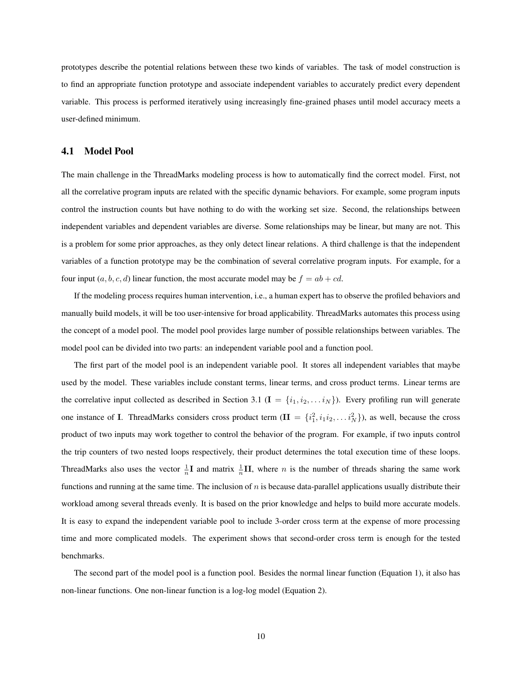prototypes describe the potential relations between these two kinds of variables. The task of model construction is to find an appropriate function prototype and associate independent variables to accurately predict every dependent variable. This process is performed iteratively using increasingly fine-grained phases until model accuracy meets a user-defined minimum.

### 4.1 Model Pool

The main challenge in the ThreadMarks modeling process is how to automatically find the correct model. First, not all the correlative program inputs are related with the specific dynamic behaviors. For example, some program inputs control the instruction counts but have nothing to do with the working set size. Second, the relationships between independent variables and dependent variables are diverse. Some relationships may be linear, but many are not. This is a problem for some prior approaches, as they only detect linear relations. A third challenge is that the independent variables of a function prototype may be the combination of several correlative program inputs. For example, for a four input  $(a, b, c, d)$  linear function, the most accurate model may be  $f = ab + cd$ .

If the modeling process requires human intervention, i.e., a human expert has to observe the profiled behaviors and manually build models, it will be too user-intensive for broad applicability. ThreadMarks automates this process using the concept of a model pool. The model pool provides large number of possible relationships between variables. The model pool can be divided into two parts: an independent variable pool and a function pool.

The first part of the model pool is an independent variable pool. It stores all independent variables that maybe used by the model. These variables include constant terms, linear terms, and cross product terms. Linear terms are the correlative input collected as described in Section 3.1 ( $I = \{i_1, i_2, \ldots i_N\}$ ). Every profiling run will generate one instance of I. ThreadMarks considers cross product term  $(\mathbf{II} = \{i_1^2, i_1 i_2, \dots i_N^2\})$ , as well, because the cross product of two inputs may work together to control the behavior of the program. For example, if two inputs control the trip counters of two nested loops respectively, their product determines the total execution time of these loops. ThreadMarks also uses the vector  $\frac{1}{n}I$  and matrix  $\frac{1}{n}II$ , where *n* is the number of threads sharing the same work functions and running at the same time. The inclusion of  $n$  is because data-parallel applications usually distribute their workload among several threads evenly. It is based on the prior knowledge and helps to build more accurate models. It is easy to expand the independent variable pool to include 3-order cross term at the expense of more processing time and more complicated models. The experiment shows that second-order cross term is enough for the tested benchmarks.

The second part of the model pool is a function pool. Besides the normal linear function (Equation 1), it also has non-linear functions. One non-linear function is a log-log model (Equation 2).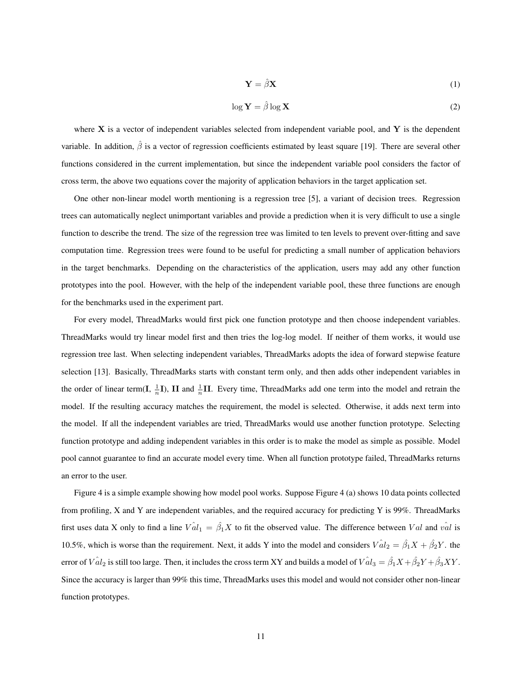$$
\mathbf{Y} = \hat{\beta}\mathbf{X} \tag{1}
$$

$$
\log \mathbf{Y} = \hat{\beta} \log \mathbf{X} \tag{2}
$$

where  $X$  is a vector of independent variables selected from independent variable pool, and  $Y$  is the dependent variable. In addition,  $\hat{\beta}$  is a vector of regression coefficients estimated by least square [19]. There are several other functions considered in the current implementation, but since the independent variable pool considers the factor of cross term, the above two equations cover the majority of application behaviors in the target application set.

One other non-linear model worth mentioning is a regression tree [5], a variant of decision trees. Regression trees can automatically neglect unimportant variables and provide a prediction when it is very difficult to use a single function to describe the trend. The size of the regression tree was limited to ten levels to prevent over-fitting and save computation time. Regression trees were found to be useful for predicting a small number of application behaviors in the target benchmarks. Depending on the characteristics of the application, users may add any other function prototypes into the pool. However, with the help of the independent variable pool, these three functions are enough for the benchmarks used in the experiment part.

For every model, ThreadMarks would first pick one function prototype and then choose independent variables. ThreadMarks would try linear model first and then tries the log-log model. If neither of them works, it would use regression tree last. When selecting independent variables, ThreadMarks adopts the idea of forward stepwise feature selection [13]. Basically, ThreadMarks starts with constant term only, and then adds other independent variables in the order of linear term(I,  $\frac{1}{n}$ I), II and  $\frac{1}{n}$ II. Every time, ThreadMarks add one term into the model and retrain the model. If the resulting accuracy matches the requirement, the model is selected. Otherwise, it adds next term into the model. If all the independent variables are tried, ThreadMarks would use another function prototype. Selecting function prototype and adding independent variables in this order is to make the model as simple as possible. Model pool cannot guarantee to find an accurate model every time. When all function prototype failed, ThreadMarks returns an error to the user.

Figure 4 is a simple example showing how model pool works. Suppose Figure 4 (a) shows 10 data points collected from profiling, X and Y are independent variables, and the required accuracy for predicting Y is 99%. ThreadMarks first uses data X only to find a line  $V \hat{a} l_1 = \hat{\beta}_1 X$  to fit the observed value. The difference between  $Val$  and  $v \hat{a} l$  is 10.5%, which is worse than the requirement. Next, it adds Y into the model and considers  $V \hat{a} l_2 = \hat{\beta}_1 X + \hat{\beta}_2 Y$ . the error of  $V\hat al_2$  is still too large. Then, it includes the cross term XY and builds a model of  $V\hat al_3=\hat\beta_1X+\hat\beta_2Y+\hat\beta_3XY.$ Since the accuracy is larger than 99% this time, ThreadMarks uses this model and would not consider other non-linear function prototypes.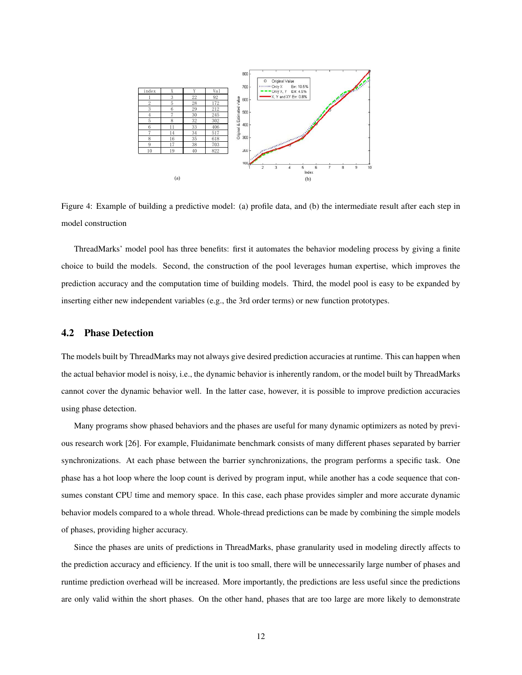

Figure 4: Example of building a predictive model: (a) profile data, and (b) the intermediate result after each step in model construction

ThreadMarks' model pool has three benefits: first it automates the behavior modeling process by giving a finite choice to build the models. Second, the construction of the pool leverages human expertise, which improves the prediction accuracy and the computation time of building models. Third, the model pool is easy to be expanded by inserting either new independent variables (e.g., the 3rd order terms) or new function prototypes.

### 4.2 Phase Detection

The models built by ThreadMarks may not always give desired prediction accuracies at runtime. This can happen when the actual behavior model is noisy, i.e., the dynamic behavior is inherently random, or the model built by ThreadMarks cannot cover the dynamic behavior well. In the latter case, however, it is possible to improve prediction accuracies using phase detection.

Many programs show phased behaviors and the phases are useful for many dynamic optimizers as noted by previous research work [26]. For example, Fluidanimate benchmark consists of many different phases separated by barrier synchronizations. At each phase between the barrier synchronizations, the program performs a specific task. One phase has a hot loop where the loop count is derived by program input, while another has a code sequence that consumes constant CPU time and memory space. In this case, each phase provides simpler and more accurate dynamic behavior models compared to a whole thread. Whole-thread predictions can be made by combining the simple models of phases, providing higher accuracy.

Since the phases are units of predictions in ThreadMarks, phase granularity used in modeling directly affects to the prediction accuracy and efficiency. If the unit is too small, there will be unnecessarily large number of phases and runtime prediction overhead will be increased. More importantly, the predictions are less useful since the predictions are only valid within the short phases. On the other hand, phases that are too large are more likely to demonstrate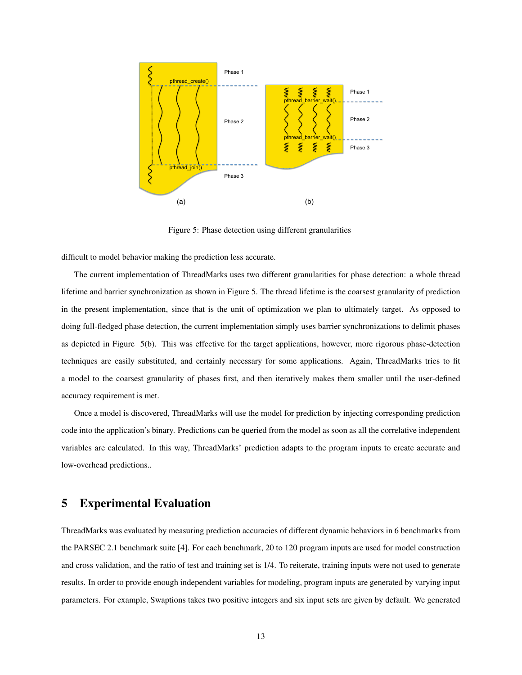

Figure 5: Phase detection using different granularities

difficult to model behavior making the prediction less accurate.

The current implementation of ThreadMarks uses two different granularities for phase detection: a whole thread lifetime and barrier synchronization as shown in Figure 5. The thread lifetime is the coarsest granularity of prediction in the present implementation, since that is the unit of optimization we plan to ultimately target. As opposed to doing full-fledged phase detection, the current implementation simply uses barrier synchronizations to delimit phases as depicted in Figure 5(b). This was effective for the target applications, however, more rigorous phase-detection techniques are easily substituted, and certainly necessary for some applications. Again, ThreadMarks tries to fit a model to the coarsest granularity of phases first, and then iteratively makes them smaller until the user-defined accuracy requirement is met.

Once a model is discovered, ThreadMarks will use the model for prediction by injecting corresponding prediction code into the application's binary. Predictions can be queried from the model as soon as all the correlative independent variables are calculated. In this way, ThreadMarks' prediction adapts to the program inputs to create accurate and low-overhead predictions..

### 5 Experimental Evaluation

ThreadMarks was evaluated by measuring prediction accuracies of different dynamic behaviors in 6 benchmarks from the PARSEC 2.1 benchmark suite [4]. For each benchmark, 20 to 120 program inputs are used for model construction and cross validation, and the ratio of test and training set is 1/4. To reiterate, training inputs were not used to generate results. In order to provide enough independent variables for modeling, program inputs are generated by varying input parameters. For example, Swaptions takes two positive integers and six input sets are given by default. We generated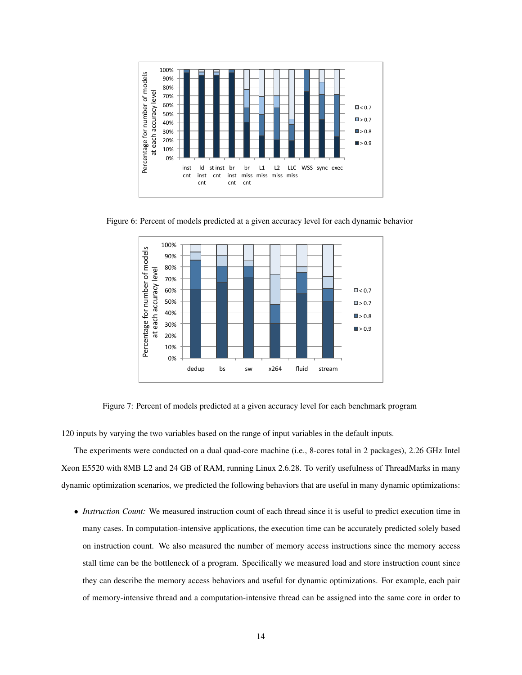

100%# Percentage for number of models Percentage for number of models 90%# 80%# at each accuracy level at each accuracy level 70%# 60%#  $\Box$  < 0.7 50%#  $\Box$ > 0.7 40%#  $\Box$  > 0.8 30%#  $\blacksquare$  > 0.9 20%# 10%# 0%# dedup bs sw x264 fluid stream

Figure 6: Percent of models predicted at a given accuracy level for each dynamic behavior

Figure 7: Percent of models predicted at a given accuracy level for each benchmark program

120 inputs by varying the two variables based on the range of input variables in the default inputs.

The experiments were conducted on a dual quad-core machine (i.e., 8-cores total in 2 packages), 2.26 GHz Intel Xeon E5520 with 8MB L2 and 24 GB of RAM, running Linux 2.6.28. To verify usefulness of ThreadMarks in many dynamic optimization scenarios, we predicted the following behaviors that are useful in many dynamic optimizations:

• *Instruction Count:* We measured instruction count of each thread since it is useful to predict execution time in many cases. In computation-intensive applications, the execution time can be accurately predicted solely based on instruction count. We also measured the number of memory access instructions since the memory access stall time can be the bottleneck of a program. Specifically we measured load and store instruction count since they can describe the memory access behaviors and useful for dynamic optimizations. For example, each pair of memory-intensive thread and a computation-intensive thread can be assigned into the same core in order to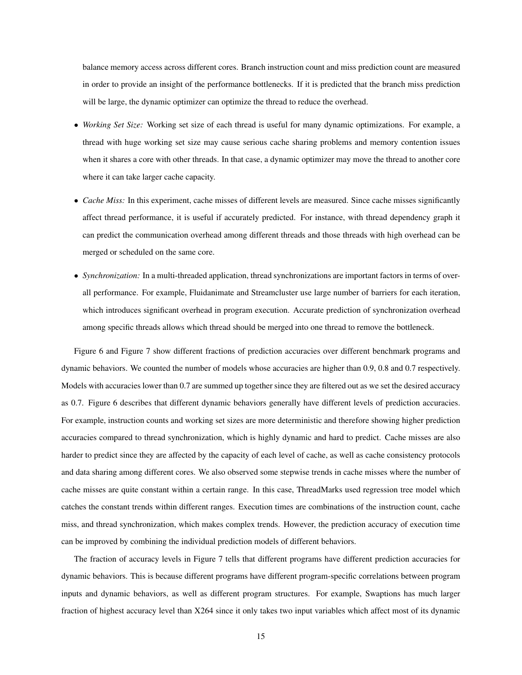balance memory access across different cores. Branch instruction count and miss prediction count are measured in order to provide an insight of the performance bottlenecks. If it is predicted that the branch miss prediction will be large, the dynamic optimizer can optimize the thread to reduce the overhead.

- *Working Set Size:* Working set size of each thread is useful for many dynamic optimizations. For example, a thread with huge working set size may cause serious cache sharing problems and memory contention issues when it shares a core with other threads. In that case, a dynamic optimizer may move the thread to another core where it can take larger cache capacity.
- *Cache Miss:* In this experiment, cache misses of different levels are measured. Since cache misses significantly affect thread performance, it is useful if accurately predicted. For instance, with thread dependency graph it can predict the communication overhead among different threads and those threads with high overhead can be merged or scheduled on the same core.
- *Synchronization:* In a multi-threaded application, thread synchronizations are important factors in terms of overall performance. For example, Fluidanimate and Streamcluster use large number of barriers for each iteration, which introduces significant overhead in program execution. Accurate prediction of synchronization overhead among specific threads allows which thread should be merged into one thread to remove the bottleneck.

Figure 6 and Figure 7 show different fractions of prediction accuracies over different benchmark programs and dynamic behaviors. We counted the number of models whose accuracies are higher than 0.9, 0.8 and 0.7 respectively. Models with accuracies lower than 0.7 are summed up together since they are filtered out as we set the desired accuracy as 0.7. Figure 6 describes that different dynamic behaviors generally have different levels of prediction accuracies. For example, instruction counts and working set sizes are more deterministic and therefore showing higher prediction accuracies compared to thread synchronization, which is highly dynamic and hard to predict. Cache misses are also harder to predict since they are affected by the capacity of each level of cache, as well as cache consistency protocols and data sharing among different cores. We also observed some stepwise trends in cache misses where the number of cache misses are quite constant within a certain range. In this case, ThreadMarks used regression tree model which catches the constant trends within different ranges. Execution times are combinations of the instruction count, cache miss, and thread synchronization, which makes complex trends. However, the prediction accuracy of execution time can be improved by combining the individual prediction models of different behaviors.

The fraction of accuracy levels in Figure 7 tells that different programs have different prediction accuracies for dynamic behaviors. This is because different programs have different program-specific correlations between program inputs and dynamic behaviors, as well as different program structures. For example, Swaptions has much larger fraction of highest accuracy level than X264 since it only takes two input variables which affect most of its dynamic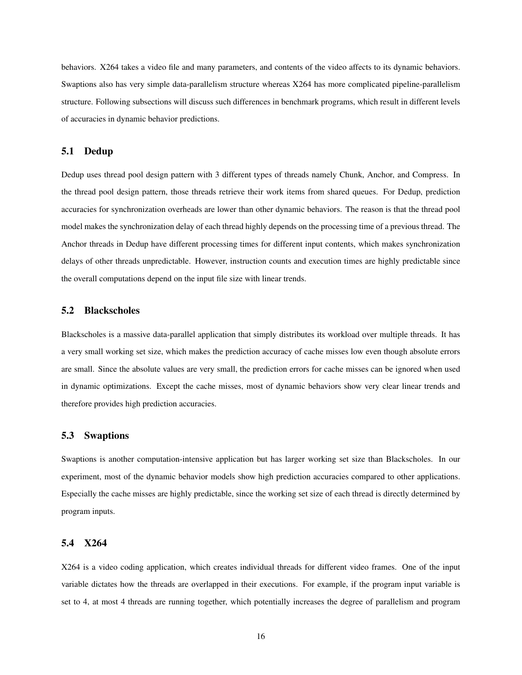behaviors. X264 takes a video file and many parameters, and contents of the video affects to its dynamic behaviors. Swaptions also has very simple data-parallelism structure whereas X264 has more complicated pipeline-parallelism structure. Following subsections will discuss such differences in benchmark programs, which result in different levels of accuracies in dynamic behavior predictions.

### 5.1 Dedup

Dedup uses thread pool design pattern with 3 different types of threads namely Chunk, Anchor, and Compress. In the thread pool design pattern, those threads retrieve their work items from shared queues. For Dedup, prediction accuracies for synchronization overheads are lower than other dynamic behaviors. The reason is that the thread pool model makes the synchronization delay of each thread highly depends on the processing time of a previous thread. The Anchor threads in Dedup have different processing times for different input contents, which makes synchronization delays of other threads unpredictable. However, instruction counts and execution times are highly predictable since the overall computations depend on the input file size with linear trends.

### 5.2 Blackscholes

Blackscholes is a massive data-parallel application that simply distributes its workload over multiple threads. It has a very small working set size, which makes the prediction accuracy of cache misses low even though absolute errors are small. Since the absolute values are very small, the prediction errors for cache misses can be ignored when used in dynamic optimizations. Except the cache misses, most of dynamic behaviors show very clear linear trends and therefore provides high prediction accuracies.

### 5.3 Swaptions

Swaptions is another computation-intensive application but has larger working set size than Blackscholes. In our experiment, most of the dynamic behavior models show high prediction accuracies compared to other applications. Especially the cache misses are highly predictable, since the working set size of each thread is directly determined by program inputs.

### 5.4 X264

X264 is a video coding application, which creates individual threads for different video frames. One of the input variable dictates how the threads are overlapped in their executions. For example, if the program input variable is set to 4, at most 4 threads are running together, which potentially increases the degree of parallelism and program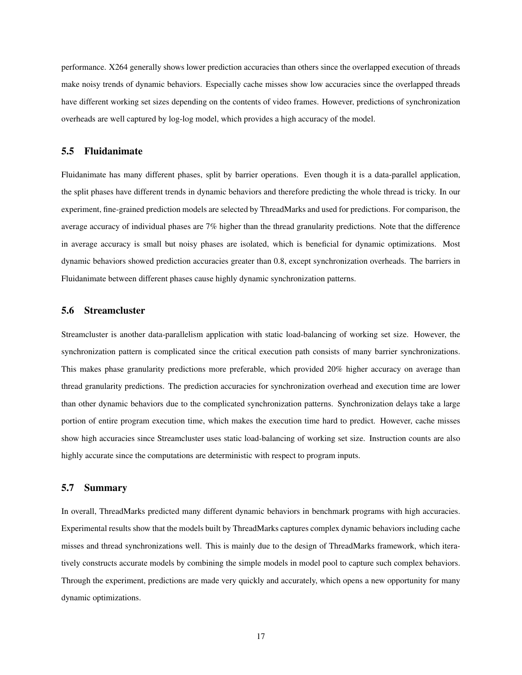performance. X264 generally shows lower prediction accuracies than others since the overlapped execution of threads make noisy trends of dynamic behaviors. Especially cache misses show low accuracies since the overlapped threads have different working set sizes depending on the contents of video frames. However, predictions of synchronization overheads are well captured by log-log model, which provides a high accuracy of the model.

### 5.5 Fluidanimate

Fluidanimate has many different phases, split by barrier operations. Even though it is a data-parallel application, the split phases have different trends in dynamic behaviors and therefore predicting the whole thread is tricky. In our experiment, fine-grained prediction models are selected by ThreadMarks and used for predictions. For comparison, the average accuracy of individual phases are 7% higher than the thread granularity predictions. Note that the difference in average accuracy is small but noisy phases are isolated, which is beneficial for dynamic optimizations. Most dynamic behaviors showed prediction accuracies greater than 0.8, except synchronization overheads. The barriers in Fluidanimate between different phases cause highly dynamic synchronization patterns.

### 5.6 Streamcluster

Streamcluster is another data-parallelism application with static load-balancing of working set size. However, the synchronization pattern is complicated since the critical execution path consists of many barrier synchronizations. This makes phase granularity predictions more preferable, which provided 20% higher accuracy on average than thread granularity predictions. The prediction accuracies for synchronization overhead and execution time are lower than other dynamic behaviors due to the complicated synchronization patterns. Synchronization delays take a large portion of entire program execution time, which makes the execution time hard to predict. However, cache misses show high accuracies since Streamcluster uses static load-balancing of working set size. Instruction counts are also highly accurate since the computations are deterministic with respect to program inputs.

#### 5.7 Summary

In overall, ThreadMarks predicted many different dynamic behaviors in benchmark programs with high accuracies. Experimental results show that the models built by ThreadMarks captures complex dynamic behaviors including cache misses and thread synchronizations well. This is mainly due to the design of ThreadMarks framework, which iteratively constructs accurate models by combining the simple models in model pool to capture such complex behaviors. Through the experiment, predictions are made very quickly and accurately, which opens a new opportunity for many dynamic optimizations.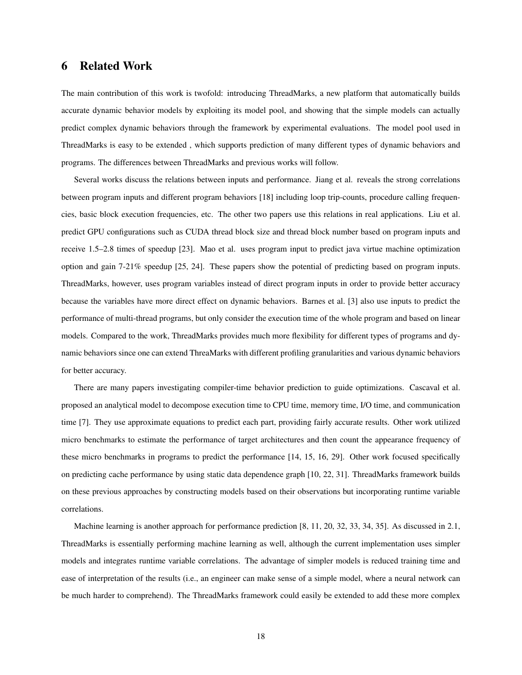### 6 Related Work

The main contribution of this work is twofold: introducing ThreadMarks, a new platform that automatically builds accurate dynamic behavior models by exploiting its model pool, and showing that the simple models can actually predict complex dynamic behaviors through the framework by experimental evaluations. The model pool used in ThreadMarks is easy to be extended , which supports prediction of many different types of dynamic behaviors and programs. The differences between ThreadMarks and previous works will follow.

Several works discuss the relations between inputs and performance. Jiang et al. reveals the strong correlations between program inputs and different program behaviors [18] including loop trip-counts, procedure calling frequencies, basic block execution frequencies, etc. The other two papers use this relations in real applications. Liu et al. predict GPU configurations such as CUDA thread block size and thread block number based on program inputs and receive 1.5–2.8 times of speedup [23]. Mao et al. uses program input to predict java virtue machine optimization option and gain 7-21% speedup [25, 24]. These papers show the potential of predicting based on program inputs. ThreadMarks, however, uses program variables instead of direct program inputs in order to provide better accuracy because the variables have more direct effect on dynamic behaviors. Barnes et al. [3] also use inputs to predict the performance of multi-thread programs, but only consider the execution time of the whole program and based on linear models. Compared to the work, ThreadMarks provides much more flexibility for different types of programs and dynamic behaviors since one can extend ThreaMarks with different profiling granularities and various dynamic behaviors for better accuracy.

There are many papers investigating compiler-time behavior prediction to guide optimizations. Cascaval et al. proposed an analytical model to decompose execution time to CPU time, memory time, I/O time, and communication time [7]. They use approximate equations to predict each part, providing fairly accurate results. Other work utilized micro benchmarks to estimate the performance of target architectures and then count the appearance frequency of these micro benchmarks in programs to predict the performance [14, 15, 16, 29]. Other work focused specifically on predicting cache performance by using static data dependence graph [10, 22, 31]. ThreadMarks framework builds on these previous approaches by constructing models based on their observations but incorporating runtime variable correlations.

Machine learning is another approach for performance prediction [8, 11, 20, 32, 33, 34, 35]. As discussed in 2.1, ThreadMarks is essentially performing machine learning as well, although the current implementation uses simpler models and integrates runtime variable correlations. The advantage of simpler models is reduced training time and ease of interpretation of the results (i.e., an engineer can make sense of a simple model, where a neural network can be much harder to comprehend). The ThreadMarks framework could easily be extended to add these more complex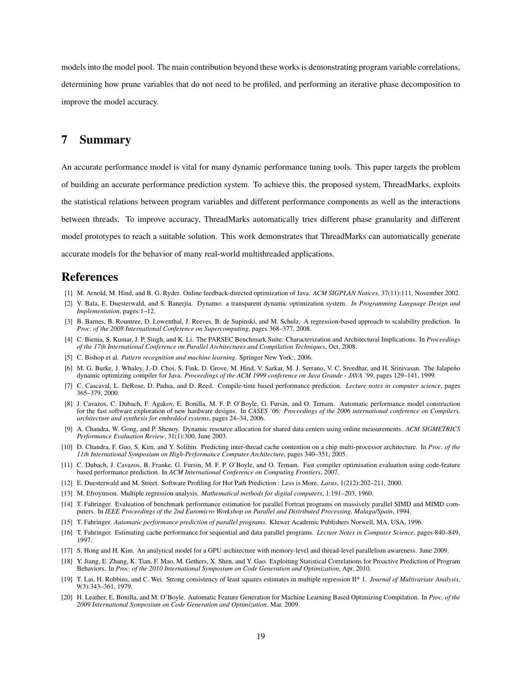models into the model pool. The main contribution beyond these works is demonstrating program variable correlations, determining how prune variables that do not need to be profiled, and performing an iterative phase decomposition to improve the model accuracy.

# 7 Summary

An accurate performance model is vital for many dynamic performance tuning tools. This paper targets the problem of building an accurate performance prediction system. To achieve this, the proposed system, ThreadMarks, exploits the statistical relations between program variables and different performance components as well as the interactions between threads. To improve accuracy, ThreadMarks automatically tries different phase granularity and different model prototypes to reach a suitable solution. This work demonstrates that ThreadMarks can automatically generate accurate models for the behavior of many real-world multithreaded applications.

### References

- [1] M. Arnold, M. Hind, and B. G. Ryder. Online feedback-directed optimization of Java. *ACM SIGPLAN Notices*, 37(11):111, November 2002.
- [2] V. Bala, E. Duesterwald, and S. Banerjia. Dynamo: a transparent dynamic optimization system. *In Programming Language Design and Implementation*, pages:1–12.
- [3] B. Barnes, B. Rountree, D. Lowenthal, J. Reeves, B. de Supinski, and M. Schulz. A regression-based approach to scalability prediction. In *Proc. of the 2008 International Conference on Supercomputing*, pages 368–377, 2008.
- [4] C. Bienia, S. Kumar, J. P. Singh, and K. Li. The PARSEC Benchmark Suite: Characterization and Architectural Implications. In *Proceedings of the 17th International Conference on Parallel Architectures and Compilation Techniques*, Oct. 2008.
- [5] C. Bishop et al. *Pattern recognition and machine learning*. Springer New York:, 2006.
- [6] M. G. Burke, J. Whaley, J.-D. Choi, S. Fink, D. Grove, M. Hind, V. Sarkar, M. J. Serrano, V. C. Sreedhar, and H. Srinivasan. The Jalapeño dynamic optimizing compiler for Java. *Proceedings of the ACM 1999 conference on Java Grande - JAVA '99*, pages 129–141, 1999.
- [7] C. Cascaval, L. DeRose, D. Padua, and D. Reed. Compile-time based performance prediction. *Lecture notes in computer science*, pages 365–379, 2000.
- [8] J. Cavazos, C. Dubach, F. Agakov, E. Bonilla, M. F. P. O'Boyle, G. Fursin, and O. Temam. Automatic performance model construction for the fast software exploration of new hardware designs. In *CASES '06: Proceedings of the 2006 international conference on Compilers, architecture and synthesis for embedded systems*, pages 24–34, 2006.
- [9] A. Chandra, W. Gong, and P. Shenoy. Dynamic resource allocation for shared data centers using online measurements. *ACM SIGMETRICS Performance Evaluation Review*, 31(1):300, June 2003.
- [10] D. Chandra, F. Guo, S. Kim, and Y. Solihin. Predicting inter-thread cache contention on a chip multi-processor architecture. In *Proc. of the 11th International Symposium on High-Performance Computer Architecture*, pages 340–351, 2005.
- [11] C. Dubach, J. Cavazos, B. Franke, G. Fursin, M. F. P. O'Boyle, and O. Temam. Fast compiler optimisation evaluation using code-feature based performance prediction. In *ACM International Conference on Computing Frontiers*, 2007.
- [12] E. Duesterwald and M. Street. Software Profiling for Hot Path Prediction : Less is More. *Larus*, 1(212):202–211, 2000.
- [13] M. Efroymson. Multiple regression analysis. *Mathematical methods for digital computers*, 1:191–203, 1960.
- [14] T. Fahringer. Evaluation of benchmark performance estimation for parallel Fortran programs on massively parallel SIMD and MIMD computers. In *IEEE Proceedings of the 2nd Euromicro Workshop on Parallel and Distributed Processing, Malaga/Spain*, 1994.
- [15] T. Fahringer. *Automatic performance prediction of parallel programs*. Kluwer Academic Publishers Norwell, MA, USA, 1996.
- [16] T. Fahringer. Estimating cache performance for sequential and data parallel programs. *Lecture Notes in Computer Science*, pages 840–849, 1997.
- [17] S. Hong and H. Kim. An analytical model for a GPU architecture with memory-level and thread-level parallelism awareness. June 2009.
- [18] Y. Jiang, E. Zhang, K. Tian, F. Mao, M. Gethers, X. Shen, and Y. Gao. Exploiting Statistical Correlations for Proactive Prediction of Program Behaviors. In *Proc. of the 2010 International Symposium on Code Generation and Optimization*, Apr. 2010.
- [19] T. Lai, H. Robbins, and C. Wei. Strong consistency of least squares estimates in multiple regression II\* 1. *Journal of Multivariate Analysis*, 9(3):343–361, 1979.
- [20] H. Leather, E. Bonilla, and M. O'Boyle. Automatic Feature Generation for Machine Learning Based Optimizing Compilation. In *Proc. of the 2009 International Symposium on Code Generation and Optimization*, Mar. 2009.